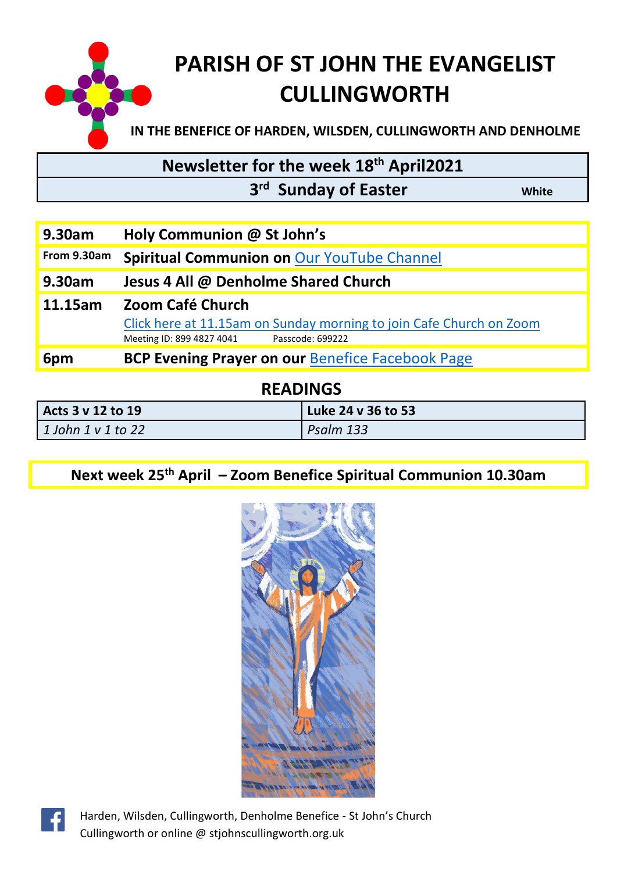

# **PARISH OF ST JOHN THE EVANGELIST CULLINGWORTH**

**IN THE BENEFICE OF HARDEN, WILSDEN, CULLINGWORTH AND DENHOLME**

**Newsletter for the week 18 th April2021**

**3 3 3 rd Sunday of Easter White** 

| 9.30am      | Holy Communion @ St John's                                                                                           |  |  |  |
|-------------|----------------------------------------------------------------------------------------------------------------------|--|--|--|
| From 9.30am | Spiritual Communion on Our YouTube Channel                                                                           |  |  |  |
| 9.30am      | Jesus 4 All @ Denholme Shared Church                                                                                 |  |  |  |
| 11.15am     | Zoom Café Church                                                                                                     |  |  |  |
|             | Click here at 11.15am on Sunday morning to join Cafe Church on Zoom<br>Meeting ID: 899 4827 4041<br>Passcode: 699222 |  |  |  |
| 6pm         | <b>BCP Evening Prayer on our Benefice Facebook Page</b>                                                              |  |  |  |
|             | <b>READINGS</b>                                                                                                      |  |  |  |

#### **READINGS**

| Acts 3 v 12 to 19  | Luke 24 v 36 to 53 |
|--------------------|--------------------|
| 1 John 1 v 1 to 22 | Psalm 133          |

#### **Next week 25th April – Zoom Benefice Spiritual Communion 10.30am**





Harden, Wilsden, Cullingworth, Denholme Benefice - St John's Church Cullingworth or online @ stjohnscullingworth.org.uk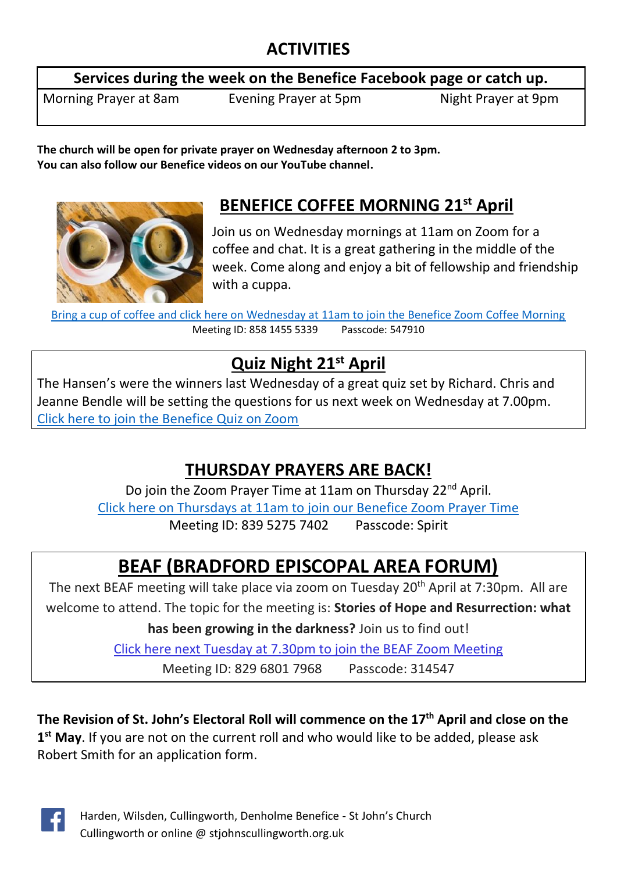#### **ACTIVITIES**

**Services during the week on the Benefice Facebook page or catch up.**

Morning Prayer at 8am Evening Prayer at 5pm Night Prayer at 9pm

**The church will be open for private prayer on Wednesday afternoon 2 to 3pm. You can also follow our Benefice videos on our YouTube channel.**



### **BENEFICE COFFEE MORNING 21st April**

Join us on Wednesday mornings at 11am on Zoom for a coffee and chat. It is a great gathering in the middle of the week. Come along and enjoy a bit of fellowship and friendship with a cuppa.

[Bring a cup of coffee and click here on Wednesday at 11am to join the Benefice Zoom Coffee Morning](https://us02web.zoom.us/j/85814555339?pwd=T2tVcDBuNGxUUDVoSXVUa25IOGJvdz09) Meeting ID: 858 1455 5339 Passcode: 547910

## **Quiz Night 21st April**

The Hansen's were the winners last Wednesday of a great quiz set by Richard. Chris and Jeanne Bendle will be setting the questions for us next week on Wednesday at 7.00pm. [Click here to join the Benefice Quiz on Zoom](https://us02web.zoom.us/j/85098439672?pwd=QnVyTTBlNGJ0d3JBV1o4TDNZWGhhUT09) 

## **THURSDAY PRAYERS ARE BACK!**

Do join the Zoom Prayer Time at 11am on Thursday 22<sup>nd</sup> April. [Click here on Thursdays at 11am to join our Benefice Zoom Prayer Time](https://us02web.zoom.us/j/83952757402?pwd=eEYrRGFkL3g1dzJLeUcvSDJueTlZdz09) Meeting ID: 839 5275 7402 Passcode: Spirit

## **BEAF (BRADFORD EPISCOPAL AREA FORUM)**

The next BEAF meeting will take place via zoom on Tuesday 20<sup>th</sup> April at 7:30pm. All are welcome to attend. The topic for the meeting is: **Stories of Hope and Resurrection: what has been growing in the darkness?** Join us to find out!

[Click here next Tuesday at 7.30pm to join the BEAF Zoom Meeting](https://anglican.us18.list-manage.com/track/click?u=fa93ab0e77f4a0cbdb37d7c37&id=29a0550646&e=f9b784339a)

Meeting ID: 829 6801 7968 Passcode: 314547

**The Revision of St. John's Electoral Roll will commence on the 17th April and close on the 1 st May**. If you are not on the current roll and who would like to be added, please ask Robert Smith for an application form.

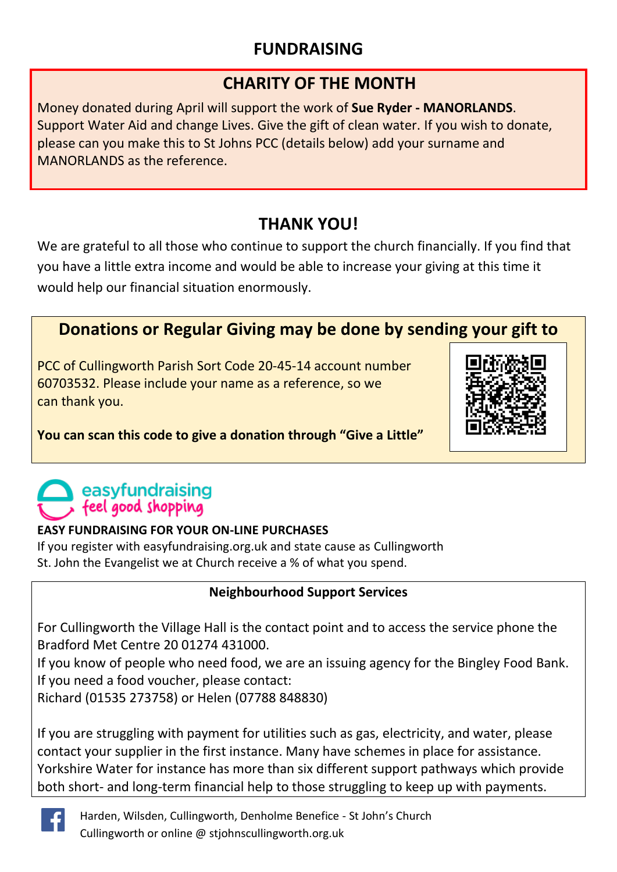#### **FUNDRAISING**

#### **CHARITY OF THE MONTH**

Money donated during April will support the work of **Sue Ryder - MANORLANDS**. Support Water Aid and change Lives. Give the gift of clean water. If you wish to donate, please can you make this to St Johns PCC (details below) add your surname and MANORLANDS as the reference.

## **THANK YOU!**

We are grateful to all those who continue to support the church financially. If you find that you have a little extra income and would be able to increase your giving at this time it would help our financial situation enormously.

#### **Donations or Regular Giving may be done by sending your gift to**

PCC of Cullingworth Parish Sort Code 20-45-14 account number 60703532. Please include your name as a reference, so we can thank you.



**You can scan this code to give a donation through "Give a Little"**

## easyfundraising feel good shopping

#### **EASY FUNDRAISING FOR YOUR ON-LINE PURCHASES**

If you register with easyfundraising.org.uk and state cause as Cullingworth St. John the Evangelist we at Church receive a % of what you spend.

#### **Neighbourhood Support Services**

For Cullingworth the Village Hall is the contact point and to access the service phone the Bradford Met Centre 20 01274 431000.

If you know of people who need food, we are an issuing agency for the Bingley Food Bank. If you need a food voucher, please contact:

Richard (01535 273758) or Helen (07788 848830)

If you are struggling with payment for utilities such as gas, electricity, and water, please contact your supplier in the first instance. Many have schemes in place for assistance. Yorkshire Water for instance has more than six different support pathways which provide both short- and long-term financial help to those struggling to keep up with payments.

Harden, Wilsden, Cullingworth, Denholme Benefice - St John's Church Cullingworth or online @ stjohnscullingworth.org.uk